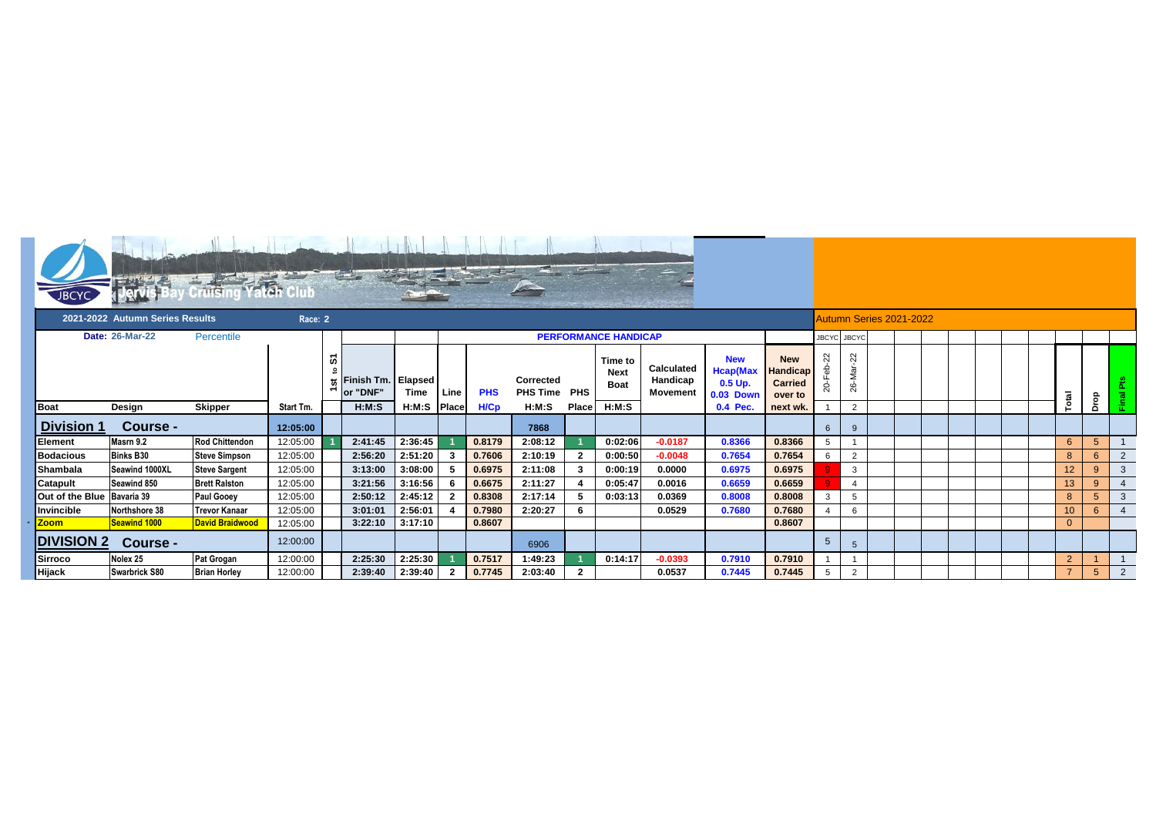| <b>JBCYC</b>                    | भागात                         |                        |           |                                       |                                |             |                |                             |                              |                |                                       |                                           |                                                                |                                                            |                         |                 |  |  |  |  |  |  |  |                 |             |                |
|---------------------------------|-------------------------------|------------------------|-----------|---------------------------------------|--------------------------------|-------------|----------------|-----------------------------|------------------------------|----------------|---------------------------------------|-------------------------------------------|----------------------------------------------------------------|------------------------------------------------------------|-------------------------|-----------------|--|--|--|--|--|--|--|-----------------|-------------|----------------|
| 2021-2022 Autumn Series Results |                               |                        |           | Race: 2                               |                                |             |                |                             |                              |                |                                       |                                           |                                                                |                                                            | Autumn Series 2021-2022 |                 |  |  |  |  |  |  |  |                 |             |                |
|                                 | Date: 26-Mar-22<br>Percentile |                        |           |                                       |                                |             |                | <b>PERFORMANCE HANDICAP</b> |                              |                |                                       |                                           |                                                                |                                                            |                         | JBCYC JBCYC     |  |  |  |  |  |  |  |                 |             |                |
|                                 |                               |                        |           | 5<br>$\overline{a}$<br>$\overline{ }$ | Finish Tm. Elapsed<br>or "DNF" | Time        | Line           | <b>PHS</b>                  | Corrected<br><b>PHS Time</b> | <b>PHS</b>     | Time to<br><b>Next</b><br><b>Boat</b> | <b>Calculated</b><br>Handicap<br>Movement | <b>New</b><br><b>Hcap(Max</b><br>$0.5$ Up.<br><b>0.03 Down</b> | <b>New</b><br><b>Handicap</b><br><b>Carried</b><br>over to | 22<br>ನಿ                | 22<br>ನ<br>26-M |  |  |  |  |  |  |  |                 |             | . ल            |
| <b>Boat</b>                     | Design                        | <b>Skipper</b>         | Start Tm. |                                       | H:M:S                          | H:M:S Place |                | H/Cp                        | H:M:S                        | Place          | H:M:S                                 |                                           | 0.4 Pec.                                                       | next wk                                                    |                         | $\overline{2}$  |  |  |  |  |  |  |  | Total           | Drop        |                |
| <b>Division 1</b>               | Course -                      |                        | 12:05:00  |                                       |                                |             |                |                             | 7868                         |                |                                       |                                           |                                                                |                                                            | 6                       | $\mathbf{q}$    |  |  |  |  |  |  |  |                 |             |                |
| Element                         | Masrn 9.2                     | <b>Rod Chittendon</b>  | 12:05:00  |                                       | 2:41:45                        | 2:36:45     |                | 0.8179                      | 2:08:12                      |                | 0:02:06                               | $-0.0187$                                 | 0.8366                                                         | 0.8366                                                     |                         |                 |  |  |  |  |  |  |  | $6\phantom{1}$  | 5           |                |
| <b>Bodacious</b>                | <b>Binks B30</b>              | <b>Steve Simpson</b>   | 12:05:00  |                                       | 2:56:20                        | 2:51:20     | 3              | 0.7606                      | 2:10:19                      | $\overline{2}$ | 0:00:50                               | $-0.0048$                                 | 0.7654                                                         | 0.7654                                                     | 6                       | $\overline{2}$  |  |  |  |  |  |  |  | 8               | 6           | $\overline{2}$ |
| Shambala                        | Seawind 1000XL                | <b>Steve Sargent</b>   | 12:05:00  |                                       | 3:13:00                        | 3:08:00     | -5             | 0.6975                      | 2:11:08                      | 3              | 0:00:19                               | 0.0000                                    | 0.6975                                                         | 0.6975                                                     |                         | $\overline{3}$  |  |  |  |  |  |  |  | 12              | 9           | $\mathbf{3}$   |
| Catapult                        | Seawind 850                   | <b>Brett Ralston</b>   | 12:05:00  |                                       | 3:21:56                        | 3:16:56     | 6              | 0.6675                      | 2:11:27                      |                | 0:05:47                               | 0.0016                                    | 0.6659                                                         | 0.6659                                                     |                         | $\overline{4}$  |  |  |  |  |  |  |  | 13              | 9           | $\overline{4}$ |
| Out of the Blue Bavaria 39      |                               | <b>Paul Gooey</b>      | 12:05:00  |                                       | 2:50:12                        | 2:45:12     | -2             | 0.8308                      | 2:17:14                      | 5              | 0:03:13                               | 0.0369                                    | 0.8008                                                         | 0.8008                                                     | 3                       | 5               |  |  |  |  |  |  |  | 8               | 5           | $\mathbf{3}$   |
| Invincible                      | Northshore 38                 | <b>Trevor Kanaar</b>   | 12:05:00  |                                       | 3:01:01                        | 2:56:01     |                | 0.7980                      | 2:20:27                      | 6              |                                       | 0.0529                                    | 0.7680                                                         | 0.7680                                                     |                         | 6               |  |  |  |  |  |  |  | 10 <sup>°</sup> | 6           | $\overline{4}$ |
| Zoom                            | <b>Seawind 1000</b>           | <b>David Braidwood</b> | 12:05:00  |                                       | 3:22:10                        | 3:17:10     |                | 0.8607                      |                              |                |                                       |                                           |                                                                | 0.8607                                                     |                         |                 |  |  |  |  |  |  |  | $\mathbf{0}$    |             |                |
| <b>DIVISION 2</b>               | Course -                      |                        | 12:00:00  |                                       |                                |             |                |                             | 6906                         |                |                                       |                                           |                                                                |                                                            | 5                       | 5               |  |  |  |  |  |  |  |                 |             |                |
| <b>Sirroco</b>                  | Nolex 25                      | <b>Pat Grogan</b>      | 12:00:00  |                                       | 2:25:30                        | 2:25:30     |                | 0.7517                      | 1:49:23                      |                | 0:14:17                               | $-0.0393$                                 | 0.7910                                                         | 0.7910                                                     |                         |                 |  |  |  |  |  |  |  | $\overline{2}$  |             |                |
| Hijack                          | Swarbrick S80                 | <b>Brian Horley</b>    | 12:00:00  |                                       | 2:39:40                        | 2:39:40     | $\overline{2}$ | 0.7745                      | 2:03:40                      | 2              |                                       | 0.0537                                    | 0.7445                                                         | 0.7445                                                     | 5                       | $\overline{2}$  |  |  |  |  |  |  |  | $\overline{7}$  | $5^{\circ}$ | $\overline{2}$ |